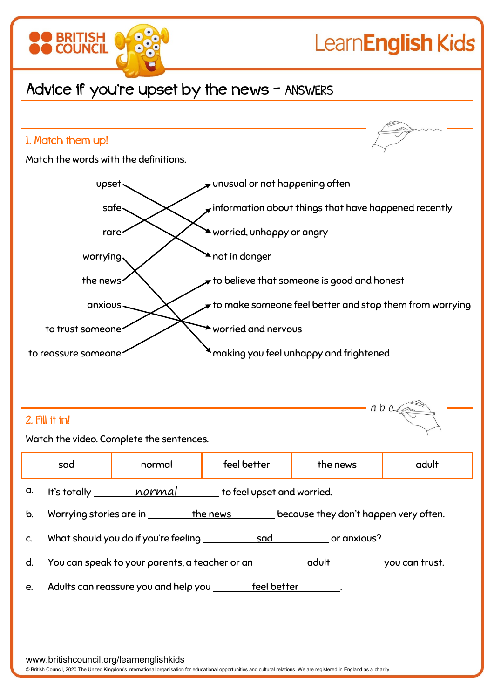

## 1. Match them up! Match the words with the definitions. upset vertex unusual or not happening often safe  $\leftarrow$  information about things that have happened recently rare worried, unhappy or angry worrying  $\bigvee$  not in danger the news  $\left\langle \right\rangle$  to believe that someone is good and honest anxious  $\lt$  to make someone feel better and stop them from worryingto trust someone worried and nervous to reassure someone making you feel unhappy and frightened  $a b c d$

## 2. Fill it in!

Watch the video. Complete the sentences.

|               | sad                                                                                  | <b>normal</b> | feel better | the news | adult |  |  |  |
|---------------|--------------------------------------------------------------------------------------|---------------|-------------|----------|-------|--|--|--|
| a.            | It's totally ________ normal ______ to feel upset and worried.                       |               |             |          |       |  |  |  |
| $\mathbf b$ . | because they don't happen very often.<br>Worrying stories are in __________ the news |               |             |          |       |  |  |  |
| $C_{\cdot}$   |                                                                                      |               |             |          |       |  |  |  |
| d.            | You can speak to your parents, a teacher or an <u>equal to a dult</u> you can trust. |               |             |          |       |  |  |  |
| e.            | Adults can reassure you and help you _______ feel better                             |               |             |          |       |  |  |  |

www.britishcouncil.org/learnenglishkids

© British Council, 2020 The United Kingdom's international organisation for educational opportunities and cultural relations. We are registered in England as a charity.